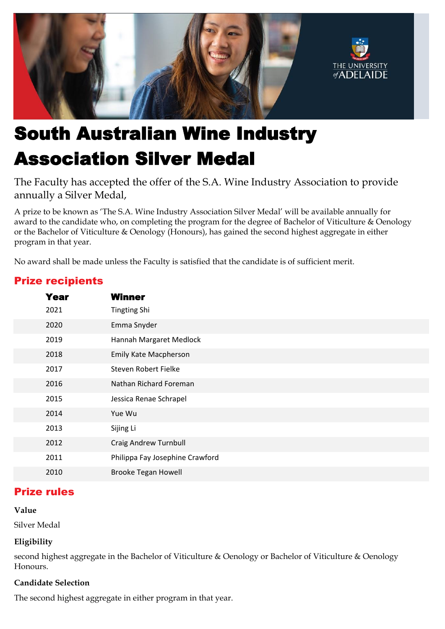

# South Australian Wine Industry Association Silver Medal

The Faculty has accepted the offer of the S.A. Wine Industry Association to provide annually a Silver Medal,

A prize to be known as 'The S.A. Wine Industry Association Silver Medal' will be available annually for award to the candidate who, on completing the program for the degree of Bachelor of Viticulture & Oenology or the Bachelor of Viticulture & Oenology (Honours), has gained the second highest aggregate in either program in that year.

No award shall be made unless the Faculty is satisfied that the candidate is of sufficient merit.

| <b>Year</b> | <b>Winner</b>                   |
|-------------|---------------------------------|
| 2021        | <b>Tingting Shi</b>             |
| 2020        | Emma Snyder                     |
| 2019        | Hannah Margaret Medlock         |
| 2018        | <b>Emily Kate Macpherson</b>    |
| 2017        | Steven Robert Fielke            |
| 2016        | Nathan Richard Foreman          |
| 2015        | Jessica Renae Schrapel          |
| 2014        | Yue Wu                          |
| 2013        | Sijing Li                       |
| 2012        | <b>Craig Andrew Turnbull</b>    |
| 2011        | Philippa Fay Josephine Crawford |
| 2010        | <b>Brooke Tegan Howell</b>      |

# Prize recipients

## Prize rules

#### **Value**

Silver Medal

## **Eligibility**

second highest aggregate in the Bachelor of Viticulture & Oenology or Bachelor of Viticulture & Oenology Honours.

#### **Candidate Selection**

The second highest aggregate in either program in that year.